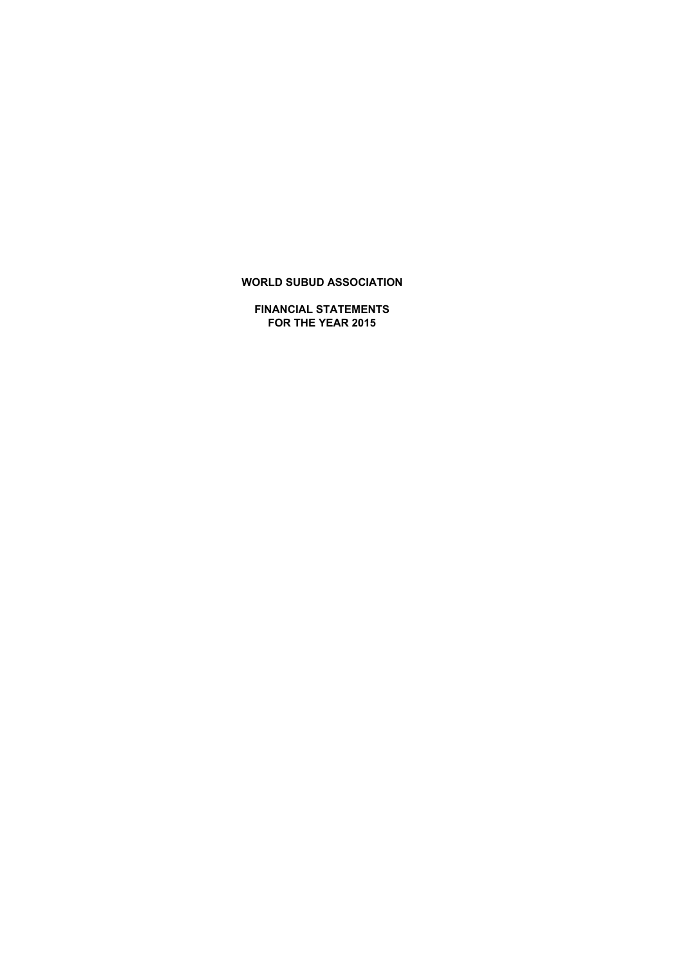**FINANCIAL STATEMENTS FOR THE YEAR 2015**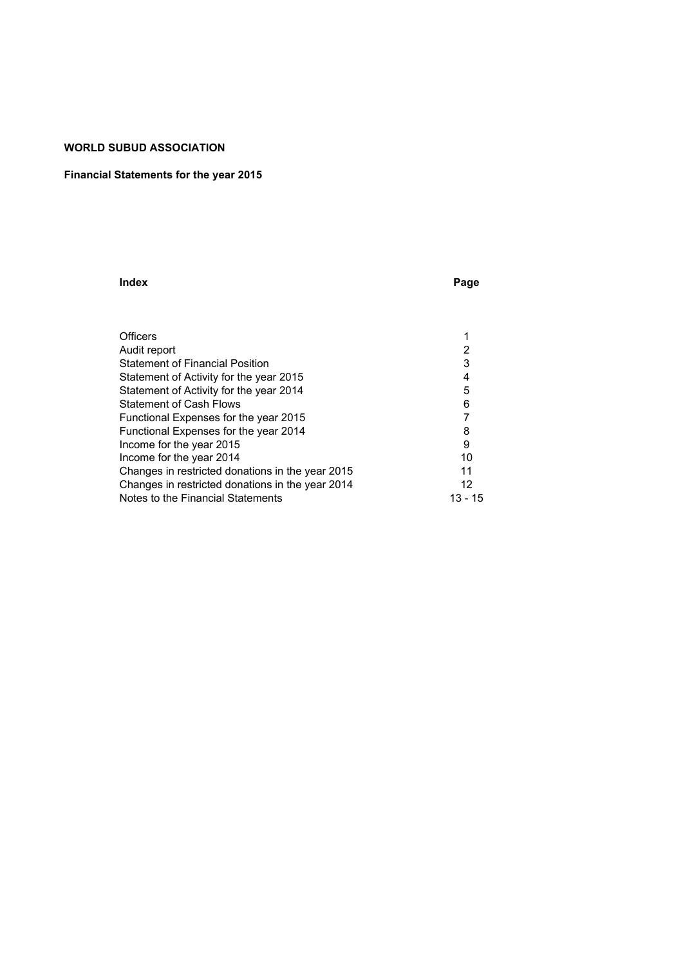# **Financial Statements for the year 2015**

#### **Index Page**

| <b>Officers</b>                                  |         |
|--------------------------------------------------|---------|
| Audit report                                     | 2       |
| <b>Statement of Financial Position</b>           | 3       |
| Statement of Activity for the year 2015          | 4       |
| Statement of Activity for the year 2014          | 5       |
| <b>Statement of Cash Flows</b>                   | 6       |
| Functional Expenses for the year 2015            |         |
| Functional Expenses for the year 2014            | 8       |
| Income for the year 2015                         | 9       |
| Income for the year 2014                         | 10      |
| Changes in restricted donations in the year 2015 | 11      |
| Changes in restricted donations in the year 2014 | 12      |
| Notes to the Financial Statements                | 13 - 15 |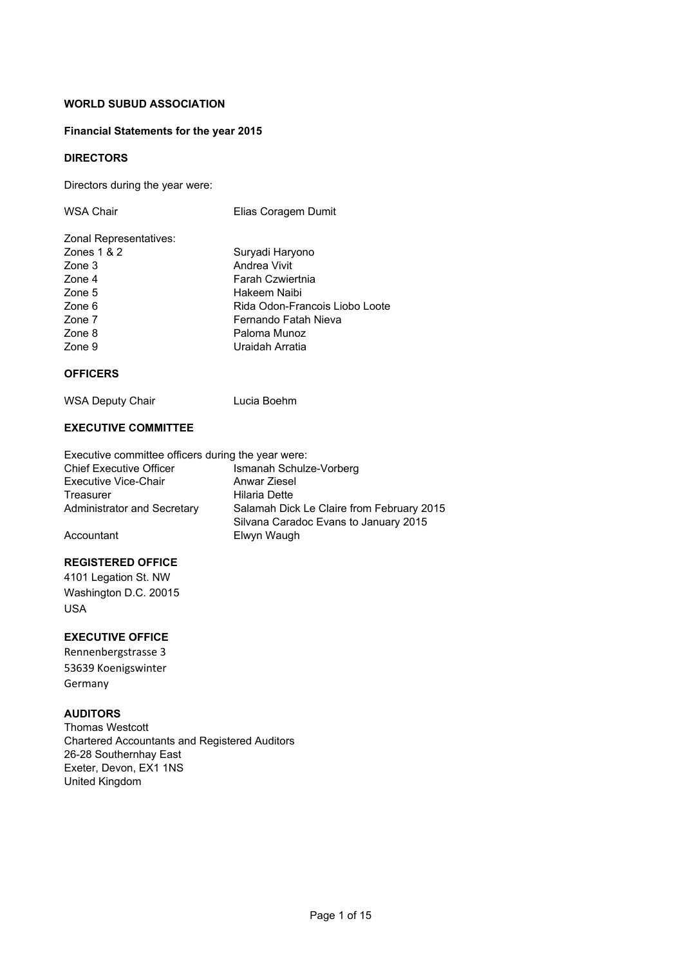# **Financial Statements for the year 2015**

# **DIRECTORS**

Directors during the year were:

| <b>WSA Chair</b>       | Elias Coragem Dumit            |
|------------------------|--------------------------------|
| Zonal Representatives: |                                |
| Zones $1 & 2$          | Suryadi Haryono                |
| Zone 3                 | Andrea Vivit                   |
| Zone 4                 | Farah Czwiertnia               |
| Zone 5                 | Hakeem Naibi                   |
| Zone 6                 | Rida Odon-Francois Liobo Loote |
| Zone 7                 | Fernando Fatah Nieva           |
| Zone 8                 | Paloma Munoz                   |
| Zone 9                 | Uraidah Arratia                |
|                        |                                |

# **OFFICERS**

WSA Deputy Chair **Lucia Boehm** 

# **EXECUTIVE COMMITTEE**

Executive committee officers during the year were: Chief Executive Officer Ismanah Schulze-Vorberg Executive Vice-Chair<br>
Treasurer Milaria Dette Hilaria Dette Administrator and Secretary Salamah Dick Le Claire from February 2015 Silvana Caradoc Evans to January 2015 Accountant Elwyn Waugh

# **REGISTERED OFFICE**

4101 Legation St. NW Washington D.C. 20015 USA

# **EXECUTIVE OFFICE**

Rennenbergstrasse 3 53639 Koenigswinter Germany

# **AUDITORS**

Thomas Westcott Chartered Accountants and Registered Auditors 26-28 Southernhay East Exeter, Devon, EX1 1NS United Kingdom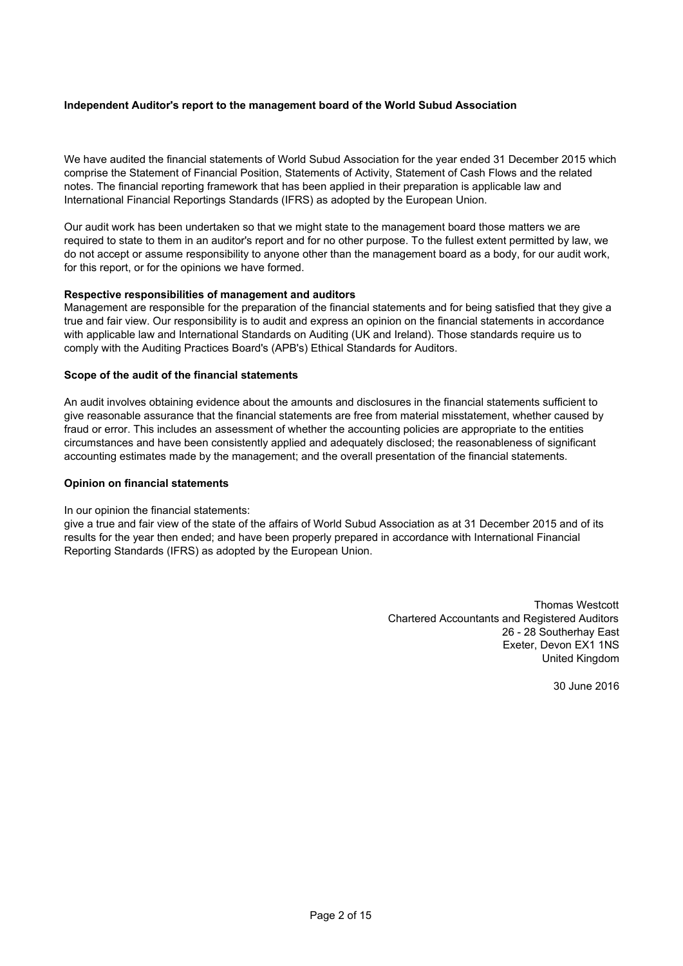# **Independent Auditor's report to the management board of the World Subud Association**

We have audited the financial statements of World Subud Association for the year ended 31 December 2015 which comprise the Statement of Financial Position, Statements of Activity, Statement of Cash Flows and the related notes. The financial reporting framework that has been applied in their preparation is applicable law and International Financial Reportings Standards (IFRS) as adopted by the European Union.

Our audit work has been undertaken so that we might state to the management board those matters we are required to state to them in an auditor's report and for no other purpose. To the fullest extent permitted by law, we do not accept or assume responsibility to anyone other than the management board as a body, for our audit work, for this report, or for the opinions we have formed.

# **Respective responsibilities of management and auditors**

Management are responsible for the preparation of the financial statements and for being satisfied that they give a true and fair view. Our responsibility is to audit and express an opinion on the financial statements in accordance with applicable law and International Standards on Auditing (UK and Ireland). Those standards require us to comply with the Auditing Practices Board's (APB's) Ethical Standards for Auditors.

# **Scope of the audit of the financial statements**

An audit involves obtaining evidence about the amounts and disclosures in the financial statements sufficient to give reasonable assurance that the financial statements are free from material misstatement, whether caused by fraud or error. This includes an assessment of whether the accounting policies are appropriate to the entities circumstances and have been consistently applied and adequately disclosed; the reasonableness of significant accounting estimates made by the management; and the overall presentation of the financial statements.

### **Opinion on financial statements**

### In our opinion the financial statements:

give a true and fair view of the state of the affairs of World Subud Association as at 31 December 2015 and of its results for the year then ended; and have been properly prepared in accordance with International Financial Reporting Standards (IFRS) as adopted by the European Union.

> Thomas Westcott Chartered Accountants and Registered Auditors 26 - 28 Southerhay East Exeter, Devon EX1 1NS United Kingdom

> > 30 June 2016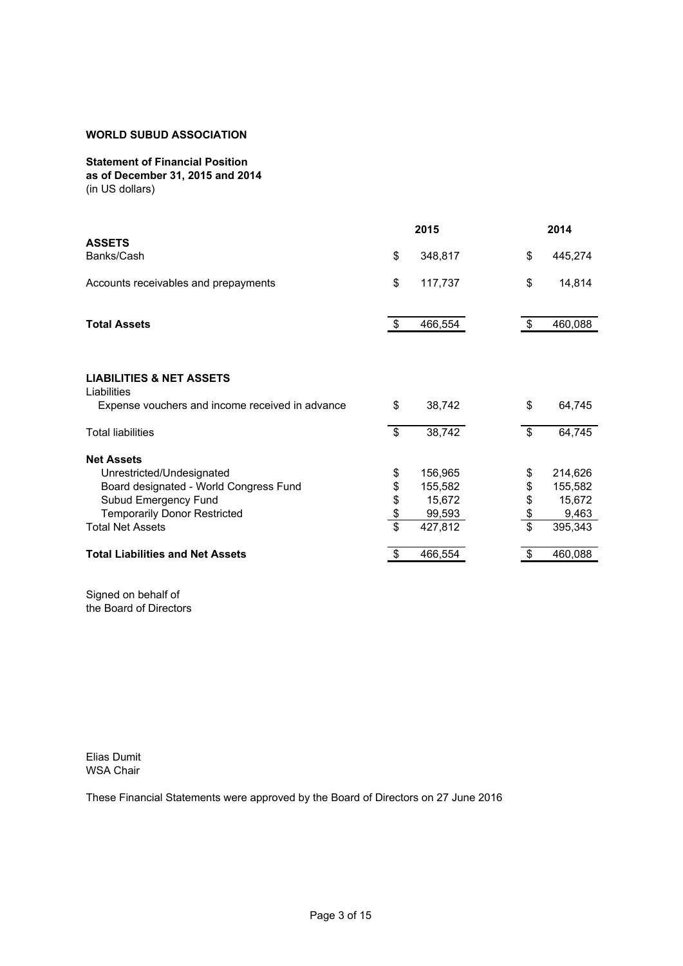# **Statement of Financial Position**

**as of December 31, 2015 and 2014** (in US dollars)

|                                                    |               | 2015    |             | 2014    |
|----------------------------------------------------|---------------|---------|-------------|---------|
| <b>ASSETS</b><br>Banks/Cash                        | \$            | 348,817 | \$          | 445,274 |
| Accounts receivables and prepayments               | \$            | 117,737 | \$          | 14,814  |
| <b>Total Assets</b>                                | \$            | 466,554 | \$          | 460,088 |
|                                                    |               |         |             |         |
| <b>LIABILITIES &amp; NET ASSETS</b><br>Liabilities |               |         |             |         |
| Expense vouchers and income received in advance    | \$            | 38,742  | \$          | 64,745  |
| <b>Total liabilities</b>                           | \$            | 38,742  | \$          | 64,745  |
| <b>Net Assets</b>                                  |               |         |             |         |
| Unrestricted/Undesignated                          | \$            | 156,965 | \$          | 214,626 |
| Board designated - World Congress Fund             | \$            | 155,582 | \$          | 155,582 |
| Subud Emergency Fund                               | \$            | 15,672  | \$          | 15,672  |
| <b>Temporarily Donor Restricted</b>                | $\frac{3}{3}$ | 99,593  | $rac{6}{3}$ | 9,463   |
| <b>Total Net Assets</b>                            |               | 427,812 |             | 395,343 |
| <b>Total Liabilities and Net Assets</b>            | S             | 466,554 |             | 460,088 |

Signed on behalf of the Board of Directors

Elias Dumit WSA Chair

These Financial Statements were approved by the Board of Directors on 27 June 2016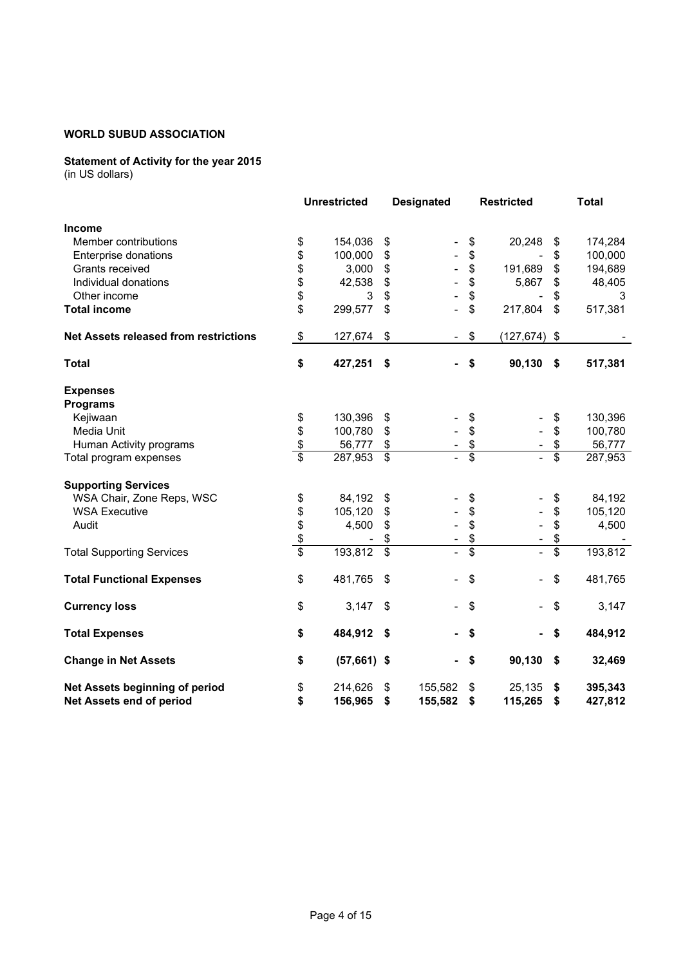# **Statement of Activity for the year 2015**

|                                              |                           | <b>Unrestricted</b> |                         | <b>Designated</b> |                 | <b>Restricted</b> |                         | <b>Total</b> |  |  |
|----------------------------------------------|---------------------------|---------------------|-------------------------|-------------------|-----------------|-------------------|-------------------------|--------------|--|--|
| <b>Income</b>                                |                           |                     |                         |                   |                 |                   |                         |              |  |  |
| Member contributions                         | \$                        | 154,036             | \$                      |                   | \$              | 20,248            | \$                      | 174,284      |  |  |
| Enterprise donations                         | \$                        | 100,000             | \$                      |                   | \$              |                   | \$                      | 100,000      |  |  |
| Grants received                              | \$                        | 3,000               | \$                      |                   | \$              | 191,689           | \$                      | 194,689      |  |  |
| Individual donations                         | \$                        | 42,538              | \$                      |                   | \$              | 5,867             | \$                      | 48,405       |  |  |
| Other income                                 | \$                        | 3                   | \$                      |                   | \$              |                   | \$                      | 3            |  |  |
| <b>Total income</b>                          | \$                        | 299,577             | \$                      |                   | \$              | 217,804           | \$                      | 517,381      |  |  |
| <b>Net Assets released from restrictions</b> | $\boldsymbol{\mathsf{S}}$ | 127,674             | \$                      |                   | \$              | $(127, 674)$ \$   |                         |              |  |  |
| <b>Total</b>                                 | \$                        | 427,251             | \$                      |                   | \$              | 90,130            | \$                      | 517,381      |  |  |
| <b>Expenses</b><br><b>Programs</b>           |                           |                     |                         |                   |                 |                   |                         |              |  |  |
| Kejiwaan                                     | \$                        | 130,396             | \$                      |                   | \$              |                   | \$                      | 130,396      |  |  |
| Media Unit                                   | \$                        | 100,780             | \$                      |                   | \$              |                   | \$                      | 100,780      |  |  |
| Human Activity programs                      | $\frac{1}{2}$             | 56,777              | \$                      |                   | \$              |                   | \$                      | 56,777       |  |  |
| Total program expenses                       | $\overline{\mathbf{s}}$   | 287,953             | - \$                    |                   | $\overline{\$}$ |                   | $\overline{\mathbf{s}}$ | 287,953      |  |  |
| <b>Supporting Services</b>                   |                           |                     |                         |                   |                 |                   |                         |              |  |  |
| WSA Chair, Zone Reps, WSC                    | \$                        | 84,192              | \$                      |                   | \$              |                   | \$                      | 84,192       |  |  |
| <b>WSA Executive</b>                         | \$                        | 105,120             | \$                      |                   | \$              |                   | \$                      | 105,120      |  |  |
| Audit                                        | \$                        | 4,500               | \$                      |                   | \$              |                   | \$                      | 4,500        |  |  |
|                                              | \$                        |                     | \$                      |                   | \$              |                   | \$                      |              |  |  |
| <b>Total Supporting Services</b>             | $\overline{\$}$           | 193,812             | $\overline{\mathbf{s}}$ |                   | $\overline{\$}$ | $\overline{a}$    | $\overline{\$}$         | 193,812      |  |  |
| <b>Total Functional Expenses</b>             | \$                        | 481,765             | \$                      |                   | \$              |                   | \$                      | 481,765      |  |  |
| <b>Currency loss</b>                         | \$                        | 3,147               | \$                      |                   | \$              |                   | \$                      | 3,147        |  |  |
| <b>Total Expenses</b>                        | \$                        | 484,912             | - \$                    |                   | \$              |                   | \$                      | 484,912      |  |  |
| <b>Change in Net Assets</b>                  | \$                        | $(57,661)$ \$       |                         |                   | \$              | 90,130            | \$                      | 32,469       |  |  |
| Net Assets beginning of period               | \$                        | 214,626             | \$                      | 155,582           | \$              | 25,135            | \$                      | 395,343      |  |  |
| Net Assets end of period                     | \$                        | 156,965             | \$                      | 155,582           | \$              | 115,265           | \$                      | 427,812      |  |  |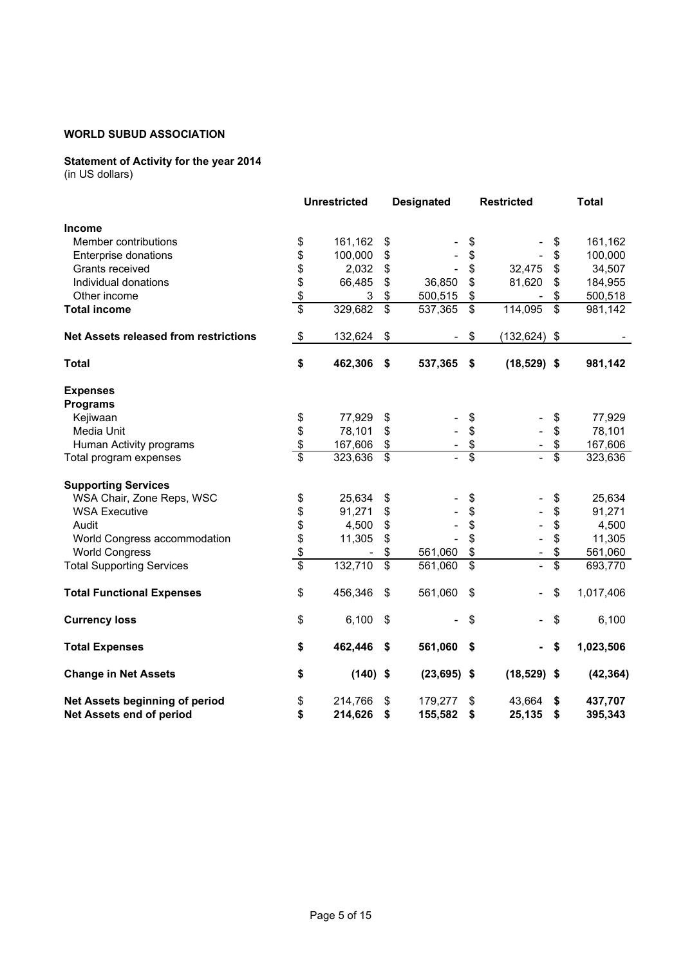# **Statement of Activity for the year 2014**

|                                              |                 | <b>Unrestricted</b> |                          | <b>Designated</b> |                          | <b>Restricted</b>        |                          | <b>Total</b> |
|----------------------------------------------|-----------------|---------------------|--------------------------|-------------------|--------------------------|--------------------------|--------------------------|--------------|
| <b>Income</b>                                |                 |                     |                          |                   |                          |                          |                          |              |
| Member contributions                         | \$              | 161,162             | \$                       |                   | \$                       |                          | \$                       | 161,162      |
| Enterprise donations                         | \$              | 100,000             | \$                       |                   | \$                       |                          | \$                       | 100,000      |
| Grants received                              | \$              | 2,032               | \$                       |                   | \$                       | 32,475                   | \$                       | 34,507       |
| Individual donations                         | \$              | 66,485              | \$                       | 36,850            | \$                       | 81,620                   | \$                       | 184,955      |
| Other income                                 | \$              | 3                   | \$                       | 500,515           | \$                       |                          | \$                       | 500,518      |
| <b>Total income</b>                          | $\overline{\$}$ | 329,682             | $\overline{\mathcal{S}}$ | 537,365           | \$                       | 114,095                  | $\overline{\mathcal{S}}$ | 981,142      |
| <b>Net Assets released from restrictions</b> | \$              | 132,624             | \$                       | $\sim$            | \$                       | $(132, 624)$ \$          |                          |              |
| <b>Total</b>                                 | \$              | 462,306             | \$                       | 537,365           | -\$                      | $(18,529)$ \$            |                          | 981,142      |
| <b>Expenses</b>                              |                 |                     |                          |                   |                          |                          |                          |              |
| <b>Programs</b>                              |                 |                     |                          |                   |                          |                          |                          |              |
| Kejiwaan                                     | \$              | 77,929              | \$                       |                   | \$                       |                          | \$                       | 77,929       |
| Media Unit                                   | \$              | 78,101              | \$                       |                   | \$                       |                          | \$                       | 78,101       |
| Human Activity programs                      | \$              | 167,606             | \$                       |                   | \$                       |                          | \$                       | 167,606      |
| Total program expenses                       | $\overline{\$}$ | 323,636             | $\mathbb{S}$             |                   | $\overline{\mathcal{S}}$ |                          | \$                       | 323,636      |
| <b>Supporting Services</b>                   |                 |                     |                          |                   |                          |                          |                          |              |
| WSA Chair, Zone Reps, WSC                    | \$              | 25,634              | \$                       |                   | \$                       |                          | \$                       | 25,634       |
| <b>WSA Executive</b>                         | \$              | 91,271              | \$                       |                   | \$                       |                          | \$                       | 91,271       |
| Audit                                        | \$              | 4,500               | \$                       |                   | \$                       |                          | \$                       | 4,500        |
| World Congress accommodation                 | \$              | 11,305              | \$                       |                   | \$                       |                          | \$                       | 11,305       |
| <b>World Congress</b>                        | \$              |                     | \$                       | 561,060           | \$                       |                          | \$                       | 561,060      |
| <b>Total Supporting Services</b>             | \$              | 132,710             | $\overline{\mathcal{S}}$ | 561,060           | $\overline{\mathbf{s}}$  | $\overline{a}$           | $\overline{\mathbb{S}}$  | 693,770      |
| <b>Total Functional Expenses</b>             | \$              | 456,346             | \$                       | 561,060           | \$                       |                          | \$                       | 1,017,406    |
| <b>Currency loss</b>                         | \$              | 6,100               | \$                       |                   | \$                       | $\overline{\phantom{0}}$ | \$                       | 6,100        |
| <b>Total Expenses</b>                        | \$              | 462,446             | \$                       | 561,060           | \$                       | $\blacksquare$           | \$                       | 1,023,506    |
| <b>Change in Net Assets</b>                  | \$              | $(140)$ \$          |                          | $(23, 695)$ \$    |                          | $(18,529)$ \$            |                          | (42, 364)    |
| Net Assets beginning of period               | \$              | 214,766             | \$                       | 179,277           | \$                       | 43,664                   | \$                       | 437,707      |
| Net Assets end of period                     | \$              | 214,626             | \$                       | 155,582           | \$                       | 25,135                   | \$                       | 395,343      |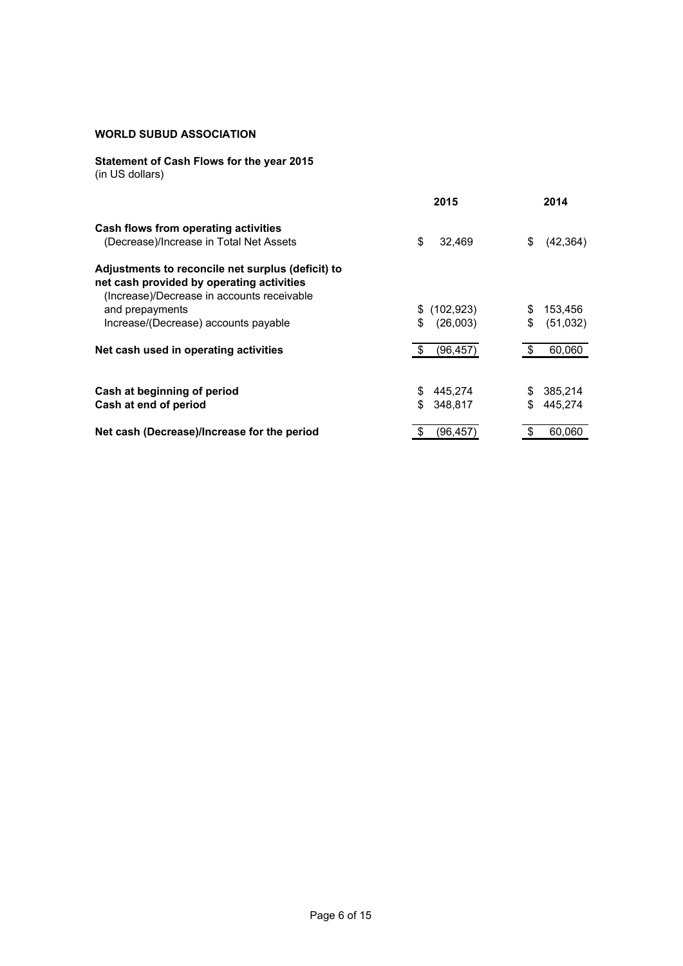# **Statement of Cash Flows for the year 2015**

|                                                                                                | 2015            | 2014            |
|------------------------------------------------------------------------------------------------|-----------------|-----------------|
| Cash flows from operating activities                                                           |                 |                 |
| (Decrease)/Increase in Total Net Assets                                                        | \$<br>32,469    | \$<br>(42, 364) |
| Adjustments to reconcile net surplus (deficit) to<br>net cash provided by operating activities |                 |                 |
| (Increase)/Decrease in accounts receivable                                                     |                 |                 |
| and prepayments                                                                                | \$(102, 923)    | 153,456<br>S    |
| Increase/(Decrease) accounts payable                                                           | \$<br>(26,003)  | \$<br>(51,032)  |
| Net cash used in operating activities                                                          | \$<br>(96, 457) | \$<br>60,060    |
|                                                                                                |                 |                 |
| Cash at beginning of period                                                                    | \$<br>445.274   | 385,214<br>S    |
| Cash at end of period                                                                          | \$<br>348,817   | S<br>445,274    |
| Net cash (Decrease)/Increase for the period                                                    | (96.457         | S<br>60.060     |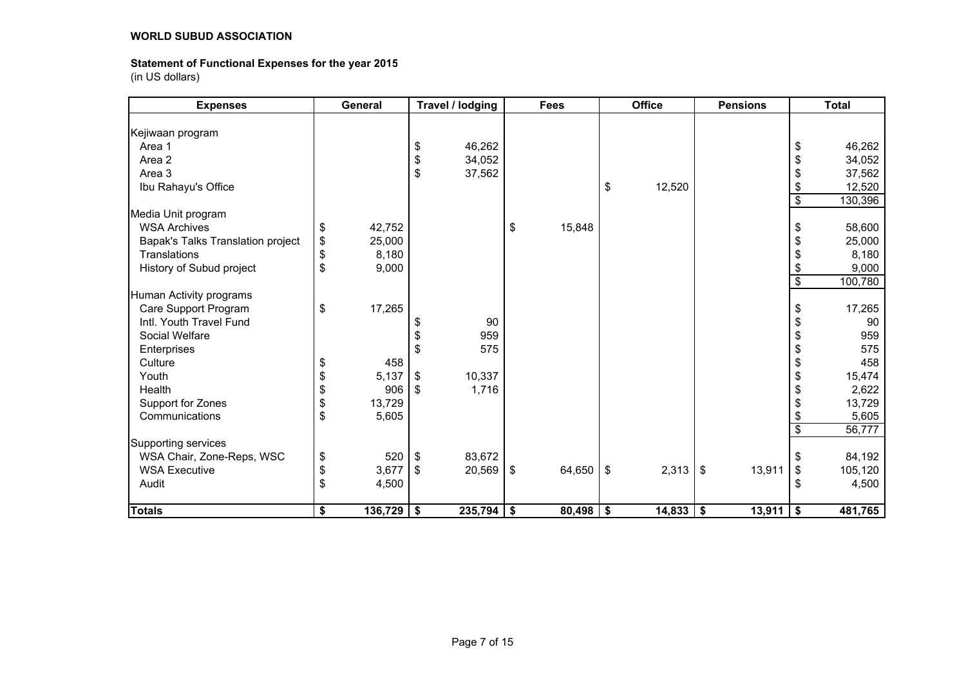# **Statement of Functional Expenses for the year 2015**

| <b>Expenses</b>                   | General            |            | Travel / lodging |                           | <b>Fees</b> |                           | <b>Office</b> |            | <b>Pensions</b> |                          | <b>Total</b> |
|-----------------------------------|--------------------|------------|------------------|---------------------------|-------------|---------------------------|---------------|------------|-----------------|--------------------------|--------------|
|                                   |                    |            |                  |                           |             |                           |               |            |                 |                          |              |
| Kejiwaan program                  |                    |            |                  |                           |             |                           |               |            |                 |                          |              |
| Area 1                            |                    | \$         | 46,262           |                           |             |                           |               |            |                 | \$                       | 46,262       |
| Area 2                            |                    | \$         | 34,052           |                           |             |                           |               |            |                 | \$                       | 34,052       |
| Area 3                            |                    | \$         | 37,562           |                           |             |                           |               |            |                 | \$                       | 37,562       |
| Ibu Rahayu's Office               |                    |            |                  |                           |             | \$                        | 12,520        |            |                 | \$                       | 12,520       |
|                                   |                    |            |                  |                           |             |                           |               |            |                 | \$                       | 130,396      |
| Media Unit program                |                    |            |                  |                           |             |                           |               |            |                 |                          |              |
| <b>WSA Archives</b>               | \$<br>42,752       |            |                  | \$                        | 15,848      |                           |               |            |                 | \$                       | 58,600       |
| Bapak's Talks Translation project | \$<br>25,000       |            |                  |                           |             |                           |               |            |                 | \$                       | 25,000       |
| Translations                      | \$<br>8,180        |            |                  |                           |             |                           |               |            |                 | \$                       | 8,180        |
| History of Subud project          | \$<br>9,000        |            |                  |                           |             |                           |               |            |                 | \$                       | 9,000        |
|                                   |                    |            |                  |                           |             |                           |               |            |                 | $\overline{\$}$          | 100,780      |
| Human Activity programs           |                    |            |                  |                           |             |                           |               |            |                 |                          |              |
| Care Support Program              | \$<br>17,265       |            |                  |                           |             |                           |               |            |                 | \$                       | 17,265       |
| Intl. Youth Travel Fund           |                    | \$         | 90               |                           |             |                           |               |            |                 | \$                       | 90           |
| Social Welfare                    |                    | \$         | 959              |                           |             |                           |               |            |                 | \$                       | 959          |
| Enterprises                       |                    | \$         | 575              |                           |             |                           |               |            |                 | \$                       | 575          |
| Culture                           | \$<br>458          |            |                  |                           |             |                           |               |            |                 | \$                       | 458          |
| Youth                             | \$<br>5,137        | \$         | 10,337           |                           |             |                           |               |            |                 | \$                       | 15,474       |
| Health                            | \$<br>906          | $\sqrt{5}$ | 1,716            |                           |             |                           |               |            |                 | \$                       | 2,622        |
| Support for Zones                 | \$<br>13,729       |            |                  |                           |             |                           |               |            |                 | \$                       | 13,729       |
| Communications                    | \$<br>5,605        |            |                  |                           |             |                           |               |            |                 | \$                       | 5,605        |
|                                   |                    |            |                  |                           |             |                           |               |            |                 | $\overline{\mathcal{S}}$ | 56,777       |
| Supporting services               |                    |            |                  |                           |             |                           |               |            |                 |                          |              |
| WSA Chair, Zone-Reps, WSC         | \$<br>520          | $\sqrt{3}$ | 83,672           |                           |             |                           |               |            |                 | \$                       | 84,192       |
| <b>WSA Executive</b>              | \$<br>3,677        | $\vert$ \$ | 20,569           | \$                        | 64,650      | $\boldsymbol{\mathsf{S}}$ | 2,313         | $\sqrt{3}$ | 13,911          | \$                       | 105,120      |
| Audit                             | \$<br>4,500        |            |                  |                           |             |                           |               |            |                 | \$                       | 4,500        |
|                                   |                    |            |                  |                           |             |                           |               |            |                 |                          |              |
| <b>Totals</b>                     | \$<br>$136,729$ \$ |            | 235,794          | $\boldsymbol{\hat{\ast}}$ | 80,498      | \$                        | $14,833$   \$ |            | 13,911          | \$                       | 481,765      |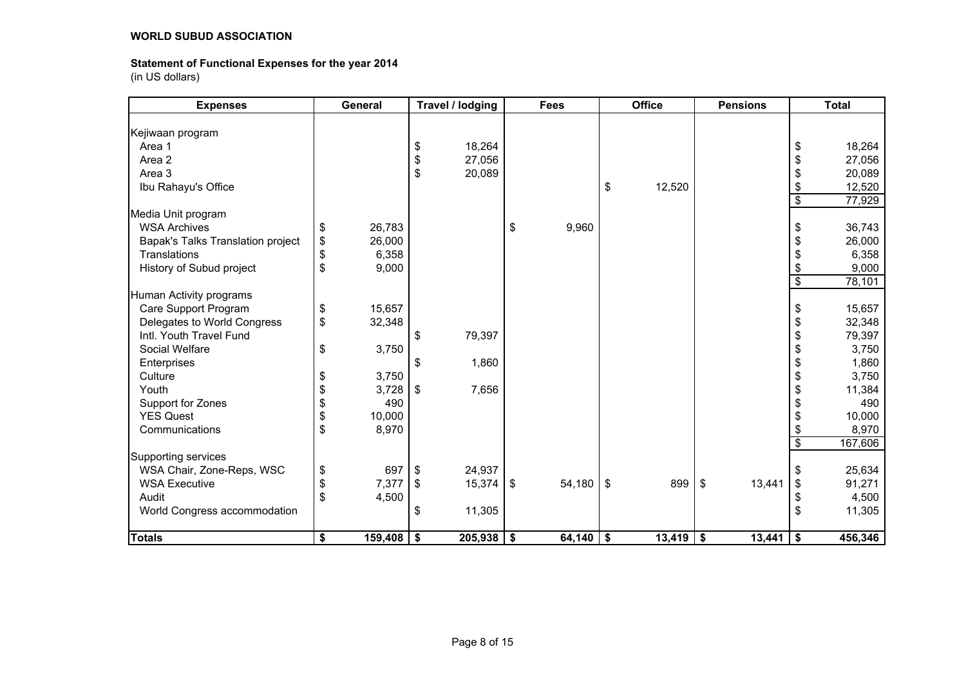# **Statement of Functional Expenses for the year 2014**

| <b>Expenses</b>                   |                   | General      | Travel / lodging | <b>Fees</b>  |                   | <b>Office</b> | <b>Pensions</b> |                 | <b>Total</b> |
|-----------------------------------|-------------------|--------------|------------------|--------------|-------------------|---------------|-----------------|-----------------|--------------|
|                                   |                   |              |                  |              |                   |               |                 |                 |              |
| Kejiwaan program                  |                   |              |                  |              |                   |               |                 |                 |              |
| Area 1                            |                   |              | \$<br>18,264     |              |                   |               |                 | \$              | 18,264       |
| Area 2                            |                   |              | \$<br>27,056     |              |                   |               |                 | \$              | 27,056       |
| Area 3                            |                   |              | \$<br>20,089     |              |                   |               |                 | \$              | 20,089       |
| Ibu Rahayu's Office               |                   |              |                  |              | $\boldsymbol{\$}$ | 12,520        |                 | \$              | 12,520       |
|                                   |                   |              |                  |              |                   |               |                 | $\$\$           | 77,929       |
| Media Unit program                |                   |              |                  |              |                   |               |                 |                 |              |
| <b>WSA Archives</b>               | \$                | 26,783       |                  | \$<br>9,960  |                   |               |                 | \$              | 36,743       |
| Bapak's Talks Translation project | $\boldsymbol{\$}$ | 26,000       |                  |              |                   |               |                 | \$              | 26,000       |
| Translations                      | \$                | 6,358        |                  |              |                   |               |                 | \$              | 6,358        |
| History of Subud project          | \$                | 9,000        |                  |              |                   |               |                 | \$              | 9,000        |
|                                   |                   |              |                  |              |                   |               |                 | $\overline{\$}$ | 78,101       |
| Human Activity programs           |                   |              |                  |              |                   |               |                 |                 |              |
| Care Support Program              | \$                | 15,657       |                  |              |                   |               |                 | \$              | 15,657       |
| Delegates to World Congress       | \$                | 32,348       |                  |              |                   |               |                 | \$              | 32,348       |
| Intl. Youth Travel Fund           |                   |              | \$<br>79,397     |              |                   |               |                 | \$              | 79,397       |
| Social Welfare                    | \$                | 3,750        |                  |              |                   |               |                 | \$              | 3,750        |
| Enterprises                       |                   |              | \$<br>1,860      |              |                   |               |                 | \$              | 1,860        |
| Culture                           | \$                | 3,750        |                  |              |                   |               |                 | \$              | 3,750        |
| Youth                             |                   | 3,728        | \$<br>7,656      |              |                   |               |                 | \$              | 11,384       |
| Support for Zones                 | \$                | 490          |                  |              |                   |               |                 | \$              | 490          |
| <b>YES Quest</b>                  | \$                | 10,000       |                  |              |                   |               |                 | \$              | 10,000       |
| Communications                    | \$                | 8,970        |                  |              |                   |               |                 | \$              | 8,970        |
|                                   |                   |              |                  |              |                   |               |                 | $\overline{\$}$ | 167,606      |
| Supporting services               |                   |              |                  |              |                   |               |                 |                 |              |
| WSA Chair, Zone-Reps, WSC         | \$                | 697          | \$<br>24,937     |              |                   |               |                 | \$              | 25,634       |
| <b>WSA Executive</b>              | \$                | 7,377        | \$<br>15,374     | \$<br>54,180 | $\sqrt[6]{3}$     | 899           | \$<br>13,441    | \$              | 91,271       |
| Audit                             | \$                | 4,500        |                  |              |                   |               |                 | \$              | 4,500        |
| World Congress accommodation      |                   |              | \$<br>11,305     |              |                   |               |                 | \$              | 11,305       |
|                                   |                   |              |                  |              |                   |               |                 |                 |              |
| <b>Totals</b>                     | \$                | $159,408$ \$ | 205,938          | \$<br>64,140 | \$                | $13,419$ \$   | 13,441          | \$              | 456,346      |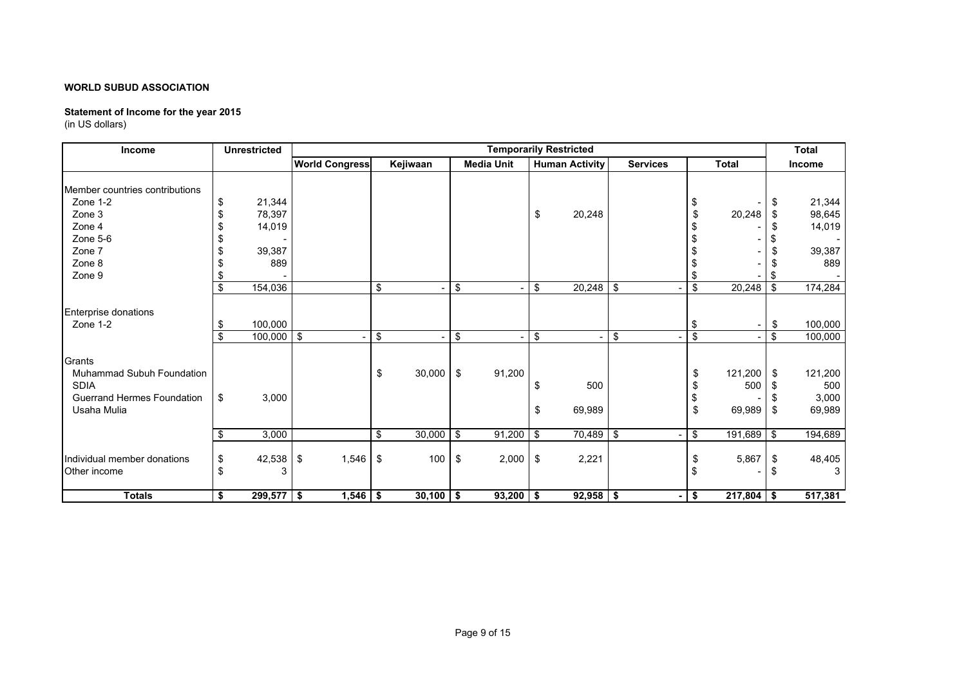# **Statement of Income for the year 2015**

| Income                                                                                         | <b>Unrestricted</b>                        |           |                       |                         |                                    |                     |                   |            | <b>Temporarily Restricted</b> |                 |                                       |               |                | <b>Total</b>                                |
|------------------------------------------------------------------------------------------------|--------------------------------------------|-----------|-----------------------|-------------------------|------------------------------------|---------------------|-------------------|------------|-------------------------------|-----------------|---------------------------------------|---------------|----------------|---------------------------------------------|
|                                                                                                |                                            |           | <b>World Congress</b> |                         | Kejiwaan                           |                     | <b>Media Unit</b> |            | <b>Human Activity</b>         | <b>Services</b> |                                       | <b>Total</b>  |                | <b>Income</b>                               |
| Member countries contributions<br>Zone 1-2<br>Zone 3<br>Zone 4<br>Zone 5-6<br>Zone 7<br>Zone 8 | 21,344<br>\$<br>78,397<br>14,019<br>39,387 | 889       |                       |                         |                                    |                     |                   | \$         | 20,248                        |                 | \$<br>\$                              | 20,248        | \$<br>S        | 21,344<br>98,645<br>14,019<br>39,387<br>889 |
| Zone 9                                                                                         |                                            |           |                       |                         |                                    |                     |                   |            |                               |                 | \$                                    |               |                |                                             |
|                                                                                                | 154,036<br>\$                              |           |                       | $\sqrt[6]{\frac{1}{2}}$ | ٠                                  | \$                  |                   | \$         | $20,248$ \$                   |                 | \$                                    | 20,248        | \$             | 174,284                                     |
| Enterprise donations<br>Zone 1-2<br>Grants<br>Muhammad Subuh Foundation                        | 100,000<br>\$<br>$100,000$ \$<br>£.        |           |                       | \$<br>\$                | $\overline{\phantom{0}}$<br>30,000 | \$<br>$\sqrt[6]{3}$ | ٠<br>91,200       | \$         | ÷,                            | \$              | -\$<br>$\overline{\mathcal{S}}$<br>\$ | 121,200       | \$<br>\$<br>\$ | 100,000<br>100,000<br>121,200               |
| <b>SDIA</b><br><b>Guerrand Hermes Foundation</b><br>Usaha Mulia                                | 3,000<br>\$                                |           |                       |                         |                                    |                     |                   | \$<br>\$   | 500<br>69,989                 |                 | S<br>\$<br>\$                         | 500<br>69,989 | \$             | 500<br>3,000<br>69,989                      |
|                                                                                                | 3,000<br>\$                                |           |                       | \$                      | 30,000                             | \$                  | 91,200            | $\sqrt{3}$ | $70,489$ \$                   |                 | $\overline{\mathbf{3}}$               | 191,689       | <b>S</b>       | 194,689                                     |
| Individual member donations<br>Other income                                                    | 42,538<br>\$<br>\$                         | - \$<br>3 | 1,546                 | -\$                     | 100                                | \$                  | 2,000             | \$         | 2,221                         |                 | \$<br>-\$                             | 5,867         | S.             | 48,405<br>3                                 |
| <b>Totals</b>                                                                                  | $299,577$ \$<br>\$                         |           | 1,546                 | \$                      | 30,100                             | l \$                | 93,200            | -\$        | $92,958$ \$                   |                 | \$                                    | 217,804       | -\$            | 517,381                                     |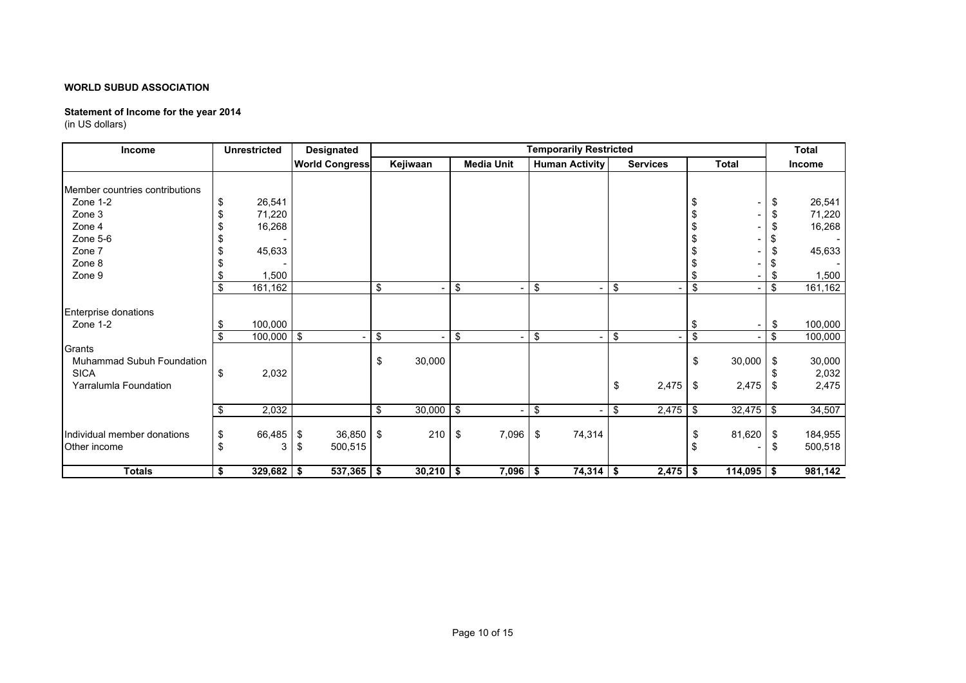# **Statement of Income for the year 2014**

| Income                                                                                                                 |                  | <b>Unrestricted</b>                  | <b>Designated</b>                   |          |                          |      |                   |     | <b>Temporarily Restricted</b> |          |                 |                                     |                 |                       | <b>Total</b>                                   |
|------------------------------------------------------------------------------------------------------------------------|------------------|--------------------------------------|-------------------------------------|----------|--------------------------|------|-------------------|-----|-------------------------------|----------|-----------------|-------------------------------------|-----------------|-----------------------|------------------------------------------------|
|                                                                                                                        |                  |                                      | <b>World Congress</b>               |          | Kejiwaan                 |      | <b>Media Unit</b> |     | <b>Human Activity</b>         |          | <b>Services</b> |                                     | <b>Total</b>    |                       | Income                                         |
| Member countries contributions<br>Zone 1-2<br>Zone 3<br>Zone 4<br>Zone 5-6<br>Zone 7<br>Zone 8                         | S                | 26,541<br>71,220<br>16,268<br>45,633 |                                     |          |                          |      |                   |     |                               |          |                 | \$<br>£                             |                 | \$<br>\$<br>\$<br>\$  | 26,541<br>71,220<br>16,268<br>45,633           |
| Zone 9                                                                                                                 |                  | 1,500                                |                                     |          |                          |      |                   |     |                               |          |                 | \$                                  |                 | \$                    | 1,500                                          |
|                                                                                                                        | \$               | 161,162                              |                                     | \$       |                          | \$   |                   | -\$ |                               | \$       |                 | $\sqrt[6]{\frac{1}{2}}$             |                 | \$                    | 161,162                                        |
| <b>Enterprise donations</b><br>Zone 1-2<br>Grants<br>Muhammad Subuh Foundation<br><b>SICA</b><br>Yarralumla Foundation | - \$<br>\$<br>\$ | 100,000<br>$100,000$ \$<br>2,032     |                                     | \$<br>\$ | $\overline{a}$<br>30,000 | -\$  |                   | \$  | $\blacksquare$                | \$<br>\$ | 2,475           | -\$<br>$\overline{\$}$<br>\$<br>-\$ | 30,000<br>2,475 | \$<br>\$<br>\$<br>-\$ | 100,000<br>100,000<br>30,000<br>2,032<br>2,475 |
|                                                                                                                        |                  |                                      |                                     |          |                          |      |                   |     |                               |          |                 |                                     |                 |                       |                                                |
|                                                                                                                        | -\$              | 2,032                                |                                     | \$       | 30,000                   | l \$ |                   | \$  |                               | \$       | 2,475           | \$                                  | $32,475$ \$     |                       | 34,507                                         |
| Individual member donations<br>Other income                                                                            |                  | 66,485<br>3                          | $36,850$ \$<br>-\$<br>500,515<br>\$ |          | 210                      | -\$  | 7,096             | \$  | 74,314                        |          |                 | \$<br>\$                            | 81,620          | \$<br>\$              | 184,955<br>500,518                             |
| <b>Totals</b>                                                                                                          | \$               | $329,682$ \$                         | 537,365                             | \$       | $30,210$ \$              |      | 7,096             | \$  | $74,314$ \$                   |          | 2,475           | \$                                  | $114,095$ \$    |                       | 981,142                                        |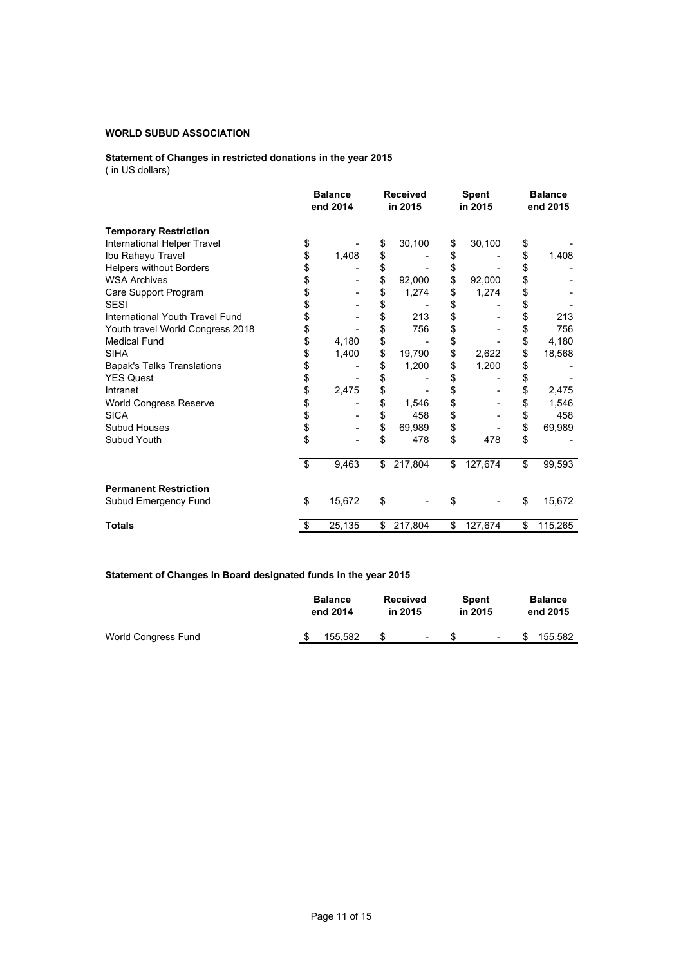### **Statement of Changes in restricted donations in the year 2015** ( in US dollars)

|                                   | <b>Balance</b><br>end 2014 | <b>Received</b><br>in 2015 | <b>Spent</b><br>in 2015 | <b>Balance</b><br>end 2015 |
|-----------------------------------|----------------------------|----------------------------|-------------------------|----------------------------|
| <b>Temporary Restriction</b>      |                            |                            |                         |                            |
| International Helper Travel       | \$                         | \$<br>30,100               | \$<br>30,100            | \$                         |
| Ibu Rahayu Travel                 | \$<br>1,408                | \$                         | \$                      | \$<br>1,408                |
| <b>Helpers without Borders</b>    | \$                         | \$                         | \$                      | \$                         |
| <b>WSA Archives</b>               | \$                         | \$<br>92,000               | \$<br>92,000            | \$                         |
| Care Support Program              | \$                         | \$<br>1,274                | \$<br>1,274             | \$                         |
| <b>SESI</b>                       | \$                         | \$                         | \$                      | \$                         |
| International Youth Travel Fund   | \$                         | \$<br>213                  | \$                      | \$<br>213                  |
| Youth travel World Congress 2018  | \$                         | \$<br>756                  | \$                      | \$<br>756                  |
| <b>Medical Fund</b>               | \$<br>4,180                | \$                         | \$                      | \$<br>4,180                |
| <b>SIHA</b>                       | \$<br>1,400                | \$<br>19,790               | \$<br>2,622             | \$<br>18,568               |
| <b>Bapak's Talks Translations</b> | \$                         | \$<br>1,200                | \$<br>1,200             | \$                         |
| <b>YES Quest</b>                  | \$                         | \$                         | \$                      | \$                         |
| Intranet                          | \$<br>2,475                | \$                         | \$                      | \$<br>2,475                |
| World Congress Reserve            | \$                         | \$<br>1,546                | \$                      | \$<br>1,546                |
| <b>SICA</b>                       | \$                         | \$<br>458                  | \$                      | \$<br>458                  |
| Subud Houses                      | \$                         | \$<br>69,989               | \$                      | \$<br>69,989               |
| Subud Youth                       | \$                         | \$<br>478                  | \$<br>478               | \$                         |
|                                   | \$<br>9,463                | \$<br>217,804              | \$<br>127,674           | \$<br>99,593               |
| <b>Permanent Restriction</b>      |                            |                            |                         |                            |
| Subud Emergency Fund              | \$<br>15,672               | \$                         | \$                      | \$<br>15,672               |
| <b>Totals</b>                     | \$<br>25,135               | \$<br>217,804              | \$<br>127,674           | \$<br>115,265              |

# **Statement of Changes in Board designated funds in the year 2015**

|                     | <b>Balance</b><br>end 2014 | <b>Received</b><br>in 2015 |        | <b>Spent</b><br>in 2015 |    | <b>Balance</b><br>end 2015 |
|---------------------|----------------------------|----------------------------|--------|-------------------------|----|----------------------------|
| World Congress Fund | 155.582                    | S                          | $\sim$ | $\sim$                  | £. | 155.582                    |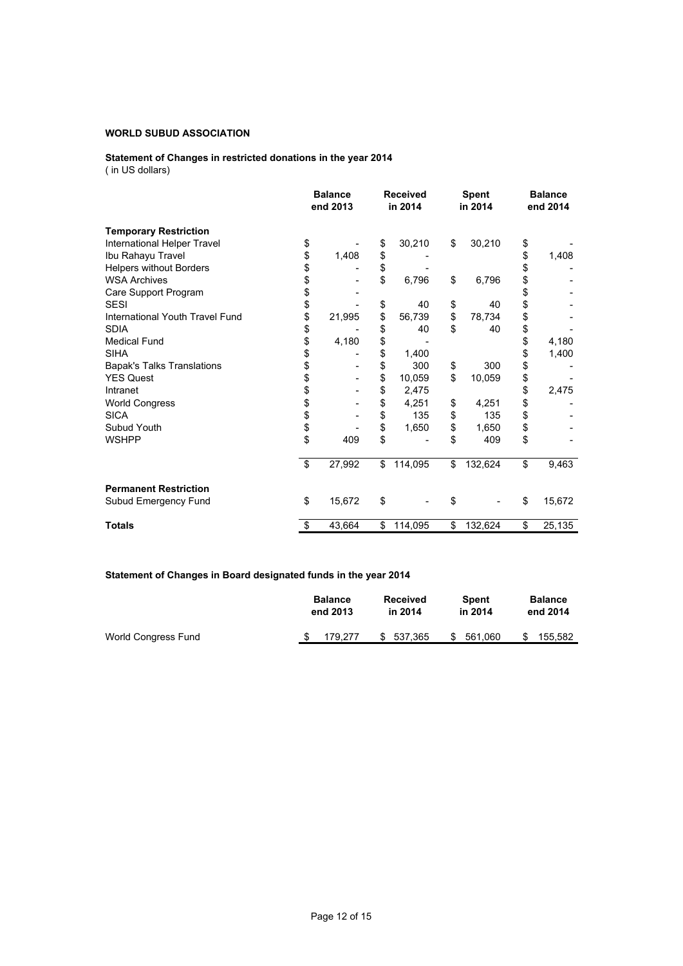### **Statement of Changes in restricted donations in the year 2014** ( in US dollars)

|                                   | <b>Balance</b><br>end 2013 |        | <b>Received</b><br>in 2014 |         | <b>Spent</b><br>in 2014 |         | <b>Balance</b><br>end 2014 |        |
|-----------------------------------|----------------------------|--------|----------------------------|---------|-------------------------|---------|----------------------------|--------|
| <b>Temporary Restriction</b>      |                            |        |                            |         |                         |         |                            |        |
| International Helper Travel       | \$                         |        | \$                         | 30,210  | \$                      | 30,210  | \$                         |        |
| Ibu Rahayu Travel                 | \$                         | 1,408  | \$                         |         |                         |         | \$                         | 1,408  |
| <b>Helpers without Borders</b>    | \$                         |        | \$                         |         |                         |         | \$                         |        |
| <b>WSA Archives</b>               | \$                         |        | \$                         | 6,796   | \$                      | 6,796   | \$                         |        |
| Care Support Program              | \$                         |        |                            |         |                         |         | \$                         |        |
| <b>SESI</b>                       | \$                         |        | \$                         | 40      | \$                      | 40      | \$                         |        |
| International Youth Travel Fund   | \$                         | 21,995 | \$                         | 56,739  | \$                      | 78,734  | \$                         |        |
| <b>SDIA</b>                       | \$                         |        | \$                         | 40      | \$                      | 40      | \$                         |        |
| <b>Medical Fund</b>               | \$                         | 4,180  | \$                         |         |                         |         | \$                         | 4,180  |
| <b>SIHA</b>                       | \$                         |        | \$                         | 1,400   |                         |         | \$                         | 1,400  |
| <b>Bapak's Talks Translations</b> | \$                         |        | \$                         | 300     | \$                      | 300     | \$                         |        |
| <b>YES Quest</b>                  |                            |        | \$                         | 10,059  | \$                      | 10,059  | \$                         |        |
| Intranet                          | \$<br>\$                   |        | \$                         | 2,475   |                         |         | \$                         | 2,475  |
| <b>World Congress</b>             |                            |        | \$                         | 4,251   | \$                      | 4,251   | \$                         |        |
| <b>SICA</b>                       |                            |        | \$                         | 135     | \$                      | 135     | \$                         |        |
| Subud Youth                       | \$\$                       |        | \$                         | 1,650   | \$                      | 1,650   | \$                         |        |
| <b>WSHPP</b>                      | \$                         | 409    | \$                         |         | \$                      | 409     | \$                         |        |
|                                   | \$                         | 27,992 | \$                         | 114,095 | \$                      | 132,624 | \$                         | 9,463  |
| <b>Permanent Restriction</b>      |                            |        |                            |         |                         |         |                            |        |
| Subud Emergency Fund              | \$                         | 15,672 | \$                         |         | \$                      |         | \$                         | 15,672 |
| <b>Totals</b>                     | \$                         | 43,664 | \$                         | 114,095 | \$                      | 132,624 | \$                         | 25,135 |

# **Statement of Changes in Board designated funds in the year 2014**

|                     |  | <b>Balance</b> |  | <b>Received</b> |    | <b>Spent</b> |    | <b>Balance</b> |  |
|---------------------|--|----------------|--|-----------------|----|--------------|----|----------------|--|
|                     |  | end 2013       |  | in 2014         |    | in 2014      |    | end 2014       |  |
| World Congress Fund |  | 179.277        |  | \$537.365       | S. | 561.060      | \$ | 155.582        |  |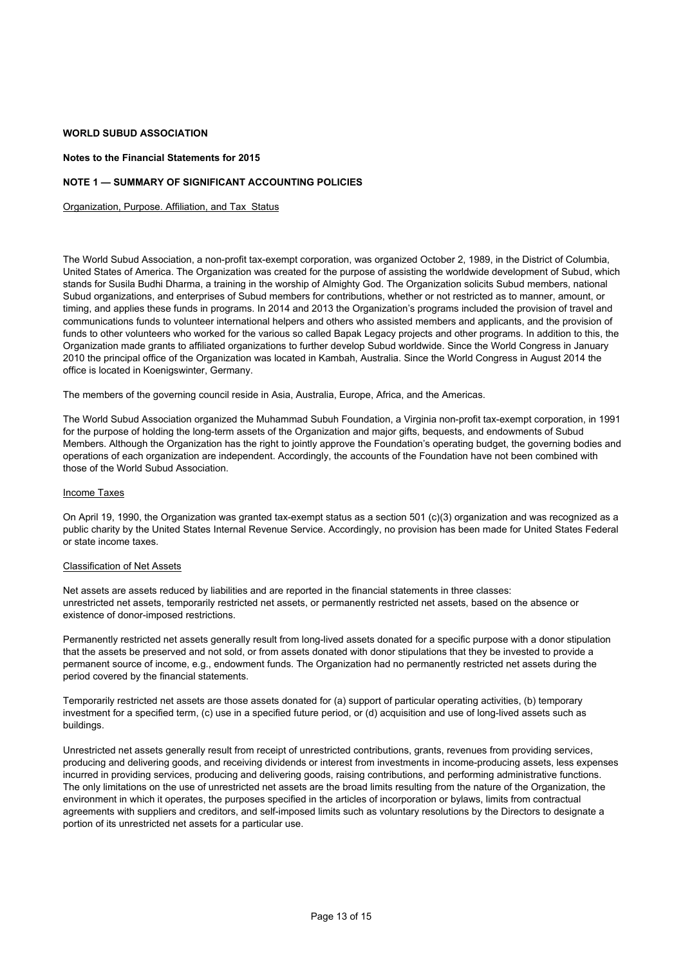### **Notes to the Financial Statements for 2015**

### **NOTE 1 — SUMMARY OF SIGNIFICANT ACCOUNTING POLICIES**

Organization, Purpose. Affiliation, and Tax Status

The World Subud Association, a non-profit tax-exempt corporation, was organized October 2, 1989, in the District of Columbia, United States of America. The Organization was created for the purpose of assisting the worldwide development of Subud, which stands for Susila Budhi Dharma, a training in the worship of Almighty God. The Organization solicits Subud members, national Subud organizations, and enterprises of Subud members for contributions, whether or not restricted as to manner, amount, or timing, and applies these funds in programs. In 2014 and 2013 the Organization's programs included the provision of travel and communications funds to volunteer international helpers and others who assisted members and applicants, and the provision of funds to other volunteers who worked for the various so called Bapak Legacy projects and other programs. In addition to this, the Organization made grants to affiliated organizations to further develop Subud worldwide. Since the World Congress in January 2010 the principal office of the Organization was located in Kambah, Australia. Since the World Congress in August 2014 the office is located in Koenigswinter, Germany.

The members of the governing council reside in Asia, Australia, Europe, Africa, and the Americas.

The World Subud Association organized the Muhammad Subuh Foundation, a Virginia non-profit tax-exempt corporation, in 1991 for the purpose of holding the long-term assets of the Organization and major gifts, bequests, and endowments of Subud Members. Although the Organization has the right to jointly approve the Foundation's operating budget, the governing bodies and operations of each organization are independent. Accordingly, the accounts of the Foundation have not been combined with those of the World Subud Association.

#### Income Taxes

On April 19, 1990, the Organization was granted tax-exempt status as a section 501 (c)(3) organization and was recognized as a public charity by the United States Internal Revenue Service. Accordingly, no provision has been made for United States Federal or state income taxes.

#### Classification of Net Assets

Net assets are assets reduced by liabilities and are reported in the financial statements in three classes: unrestricted net assets, temporarily restricted net assets, or permanently restricted net assets, based on the absence or existence of donor-imposed restrictions.

Permanently restricted net assets generally result from long-lived assets donated for a specific purpose with a donor stipulation that the assets be preserved and not sold, or from assets donated with donor stipulations that they be invested to provide a permanent source of income, e.g., endowment funds. The Organization had no permanently restricted net assets during the period covered by the financial statements.

Temporarily restricted net assets are those assets donated for (a) support of particular operating activities, (b) temporary investment for a specified term, (c) use in a specified future period, or (d) acquisition and use of long-lived assets such as buildings.

Unrestricted net assets generally result from receipt of unrestricted contributions, grants, revenues from providing services, producing and delivering goods, and receiving dividends or interest from investments in income-producing assets, less expenses incurred in providing services, producing and delivering goods, raising contributions, and performing administrative functions. The only limitations on the use of unrestricted net assets are the broad limits resulting from the nature of the Organization, the environment in which it operates, the purposes specified in the articles of incorporation or bylaws, limits from contractual agreements with suppliers and creditors, and self-imposed limits such as voluntary resolutions by the Directors to designate a portion of its unrestricted net assets for a particular use.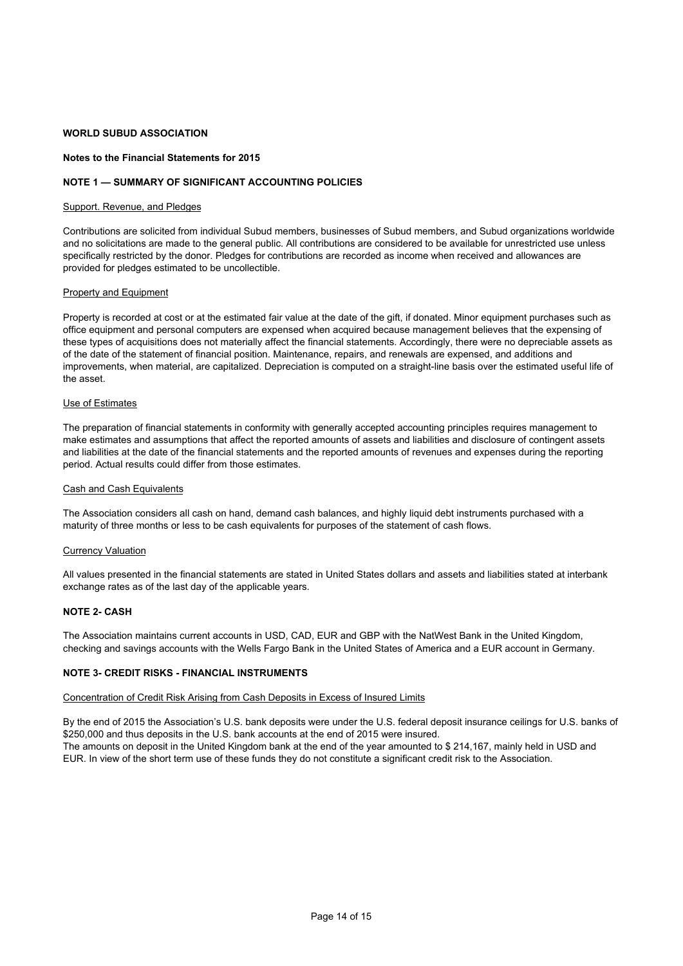### **Notes to the Financial Statements for 2015**

### **NOTE 1 — SUMMARY OF SIGNIFICANT ACCOUNTING POLICIES**

#### Support. Revenue, and Pledges

Contributions are solicited from individual Subud members, businesses of Subud members, and Subud organizations worldwide and no solicitations are made to the general public. All contributions are considered to be available for unrestricted use unless specifically restricted by the donor. Pledges for contributions are recorded as income when received and allowances are provided for pledges estimated to be uncollectible.

#### **Property and Equipment**

Property is recorded at cost or at the estimated fair value at the date of the gift, if donated. Minor equipment purchases such as office equipment and personal computers are expensed when acquired because management believes that the expensing of these types of acquisitions does not materially affect the financial statements. Accordingly, there were no depreciable assets as of the date of the statement of financial position. Maintenance, repairs, and renewals are expensed, and additions and improvements, when material, are capitalized. Depreciation is computed on a straight-line basis over the estimated useful life of the asset.

### Use of Estimates

The preparation of financial statements in conformity with generally accepted accounting principles requires management to make estimates and assumptions that affect the reported amounts of assets and liabilities and disclosure of contingent assets and liabilities at the date of the financial statements and the reported amounts of revenues and expenses during the reporting period. Actual results could differ from those estimates.

### Cash and Cash Equivalents

The Association considers all cash on hand, demand cash balances, and highly liquid debt instruments purchased with a maturity of three months or less to be cash equivalents for purposes of the statement of cash flows.

#### Currency Valuation

All values presented in the financial statements are stated in United States dollars and assets and liabilities stated at interbank exchange rates as of the last day of the applicable years.

#### **NOTE 2- CASH**

The Association maintains current accounts in USD, CAD, EUR and GBP with the NatWest Bank in the United Kingdom, checking and savings accounts with the Wells Fargo Bank in the United States of America and a EUR account in Germany.

### **NOTE 3- CREDIT RISKS - FINANCIAL INSTRUMENTS**

#### Concentration of Credit Risk Arising from Cash Deposits in Excess of Insured Limits

By the end of 2015 the Association's U.S. bank deposits were under the U.S. federal deposit insurance ceilings for U.S. banks of \$250,000 and thus deposits in the U.S. bank accounts at the end of 2015 were insured.

The amounts on deposit in the United Kingdom bank at the end of the year amounted to \$ 214,167, mainly held in USD and EUR. In view of the short term use of these funds they do not constitute a significant credit risk to the Association.